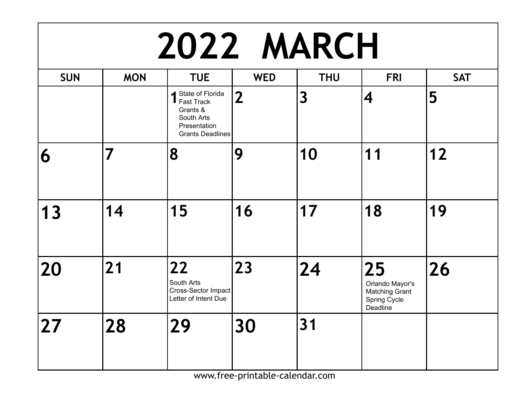| 2022 MARCH |            |                                                                                                                      |                |                         |                                                                            |            |  |  |
|------------|------------|----------------------------------------------------------------------------------------------------------------------|----------------|-------------------------|----------------------------------------------------------------------------|------------|--|--|
| <b>SUN</b> | <b>MON</b> | <b>TUE</b>                                                                                                           | <b>WED</b>     | <b>THU</b>              | <b>FRI</b>                                                                 | <b>SAT</b> |  |  |
|            |            | ▲ State of Florida<br>$\blacksquare$ Fast Track<br>Grants &<br>South Arts<br>Presentation<br><b>Grants Deadlines</b> | $\overline{2}$ | $\overline{\mathbf{3}}$ | 4                                                                          | 5          |  |  |
| 6          | 7          | 8                                                                                                                    | 9              | 10                      | 11                                                                         | 12         |  |  |
| 13         | 14         | 15                                                                                                                   | 16             | 17                      | 18                                                                         | 19         |  |  |
| 20         | 21         | 22<br>South Arts<br>Cross-Sector Impact<br>Letter of Intent Due                                                      | 23             | $\overline{24}$         | 25<br>Orlando Mayor's<br><b>Matching Grant</b><br>Spring Cycle<br>Deadline | 26         |  |  |
| 27         | 28         | 29                                                                                                                   | 30             | 31                      |                                                                            |            |  |  |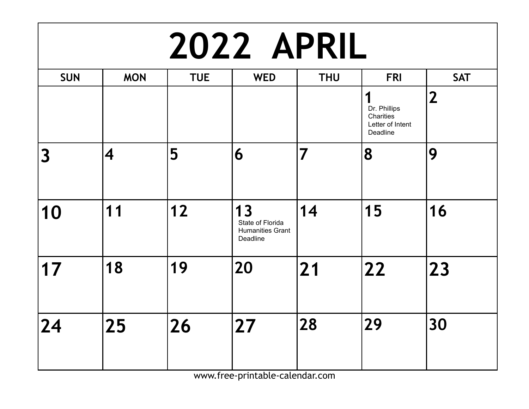| <b>2022 APRIL</b>       |                         |            |                                                               |                         |                                                                |                |  |  |
|-------------------------|-------------------------|------------|---------------------------------------------------------------|-------------------------|----------------------------------------------------------------|----------------|--|--|
| <b>SUN</b>              | <b>MON</b>              | <b>TUE</b> | <b>WED</b>                                                    | <b>THU</b>              | <b>FRI</b>                                                     | <b>SAT</b>     |  |  |
|                         |                         |            |                                                               |                         | 1<br>Dr. Phillips<br>Charities<br>Letter of Intent<br>Deadline | $\overline{2}$ |  |  |
| $\overline{\mathbf{3}}$ | $\overline{\mathbf{4}}$ | 5          | 6                                                             | $\overline{\mathbf{7}}$ | 8                                                              | 9              |  |  |
| 10                      | 11                      | $12$       | 13<br>State of Florida<br><b>Humanities Grant</b><br>Deadline | 14                      | 15                                                             | 16             |  |  |
| 17                      | 18                      | 19         | 20                                                            | $\overline{21}$         | 22                                                             | 23             |  |  |
| 24                      | 25                      | 26         | 27                                                            | 28                      | 29                                                             | 30             |  |  |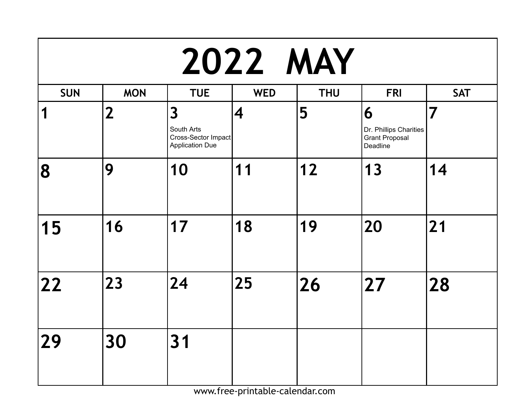| <b>2022 MAY</b> |                |                                                                                        |                          |            |                                                                  |                 |  |  |
|-----------------|----------------|----------------------------------------------------------------------------------------|--------------------------|------------|------------------------------------------------------------------|-----------------|--|--|
| <b>SUN</b>      | <b>MON</b>     | <b>TUE</b>                                                                             | <b>WED</b>               | <b>THU</b> | <b>FRI</b>                                                       | <b>SAT</b>      |  |  |
| 1               | $\overline{2}$ | $\overline{\mathbf{3}}$<br>South Arts<br>Cross-Sector Impact<br><b>Application Due</b> | $\overline{\mathcal{A}}$ | 5          | 6<br>Dr. Phillips Charities<br><b>Grant Proposal</b><br>Deadline | $\overline{7}$  |  |  |
| 8               | 9              | 10                                                                                     | 11                       | $12$       | 13                                                               | 14              |  |  |
| 15              | 16             | 17                                                                                     | 18                       | 19         | 20                                                               | $\overline{21}$ |  |  |
| 22              | 23             | 24                                                                                     | 25                       | 26         | 27                                                               | 28              |  |  |
| 29              | 30             | 31                                                                                     |                          |            |                                                                  |                 |  |  |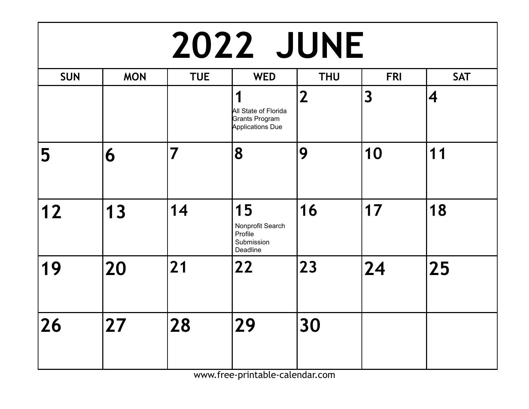| <b>2022 JUNE</b> |            |                |                                                                        |                |                         |            |  |  |
|------------------|------------|----------------|------------------------------------------------------------------------|----------------|-------------------------|------------|--|--|
| <b>SUN</b>       | <b>MON</b> | <b>TUE</b>     | <b>WED</b>                                                             | <b>THU</b>     | <b>FRI</b>              | <b>SAT</b> |  |  |
|                  |            |                | 1<br>All State of Florida<br>Grants Program<br><b>Applications Due</b> | $\overline{2}$ | $\overline{\mathbf{3}}$ | 4          |  |  |
| 5                | 6          | $\overline{7}$ | 8                                                                      | 9              | 10                      | 11         |  |  |
| 12               | 13         | 14             | 15<br>Nonprofit Search<br>Profile<br>Submission<br>Deadline            | 16             | 17                      | 18         |  |  |
| 19               | 20         | 21             | 22                                                                     | 23             | 24                      | 25         |  |  |
| 26               | 27         | 28             | 29                                                                     | 30             |                         |            |  |  |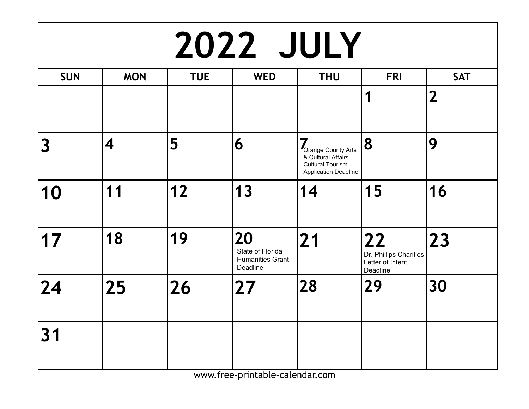### **2022 JULY**

| <b>SUN</b>              | <b>MON</b> | <b>TUE</b> | <b>WED</b>                                                    | <b>THU</b>                                                                                              | <b>FRI</b>                                                   | <b>SAT</b>     |
|-------------------------|------------|------------|---------------------------------------------------------------|---------------------------------------------------------------------------------------------------------|--------------------------------------------------------------|----------------|
|                         |            |            |                                                               |                                                                                                         | 1                                                            | $\overline{2}$ |
| $\overline{\mathbf{3}}$ | 4          | 5          | 6                                                             | 7<br>Orange County Arts<br>& Cultural Affairs<br><b>Cultural Tourism</b><br><b>Application Deadline</b> | 8                                                            | 9              |
| 10                      | 11         | 12         | 13                                                            | 14                                                                                                      | 15                                                           | 16             |
| 17                      | 18         | 19         | 20<br>State of Florida<br><b>Humanities Grant</b><br>Deadline | 21                                                                                                      | 22<br>Dr. Phillips Charities<br>Letter of Intent<br>Deadline | 23             |
| 24                      | 25         | 26         | 27                                                            | 28                                                                                                      | 29                                                           | 30             |
| 31                      |            |            |                                                               |                                                                                                         |                                                              |                |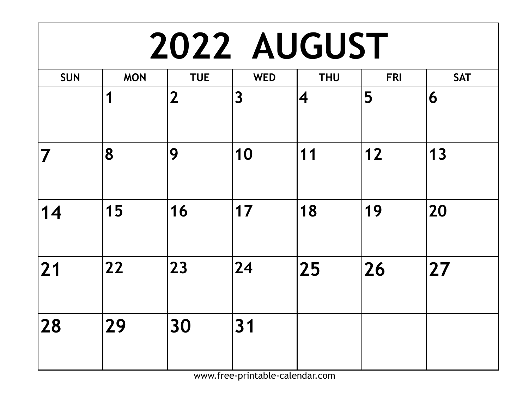| <b>2022 AUGUST</b> |            |                |            |                         |            |            |  |  |
|--------------------|------------|----------------|------------|-------------------------|------------|------------|--|--|
| <b>SUN</b>         | <b>MON</b> | <b>TUE</b>     | <b>WED</b> | <b>THU</b>              | <b>FRI</b> | <b>SAT</b> |  |  |
|                    | 1          | $\overline{2}$ | 3          | $\overline{\mathbf{4}}$ | 5          | 6          |  |  |
| 7                  | 8          | 9              | 10         | 11                      | $12$       | 13         |  |  |
| 14                 | 15         | 16             | 17         | 18                      | 19         | 20         |  |  |
| 21                 | 22         | 23             | 24         | 25                      | 26         | 27         |  |  |
| 28                 | 29         | 30             | 31         |                         |            |            |  |  |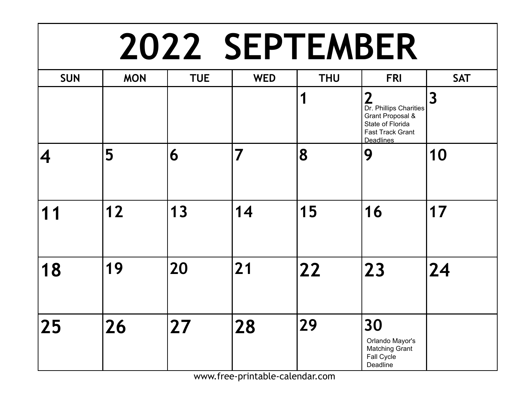#### **2022 SEPTEMBER**

| <b>SUN</b>              | <b>MON</b> | <b>TUE</b> | <b>WED</b> | <b>THU</b> | <b>FRI</b>                                                                                                                    | <b>SAT</b>              |
|-------------------------|------------|------------|------------|------------|-------------------------------------------------------------------------------------------------------------------------------|-------------------------|
|                         |            |            |            | 1          | $\mathbf{2}$<br>Dr. Phillips Charities<br>Grant Proposal &<br>State of Florida<br><b>Fast Track Grant</b><br><b>Deadlines</b> | $\overline{\mathbf{3}}$ |
| $\overline{\mathbf{4}}$ | 5          | 6          | 7          | 8          | 9                                                                                                                             | 10                      |
| 11                      | $12$       | 13         | 14         | 15         | 16                                                                                                                            | 17                      |
| 18                      | 19         | 20         | 21         | 22         | 23                                                                                                                            | $\overline{24}$         |
| 25                      | 26         | 27         | 28         | 29         | 30<br>Orlando Mayor's<br><b>Matching Grant</b><br>Fall Cycle<br>Deadline                                                      |                         |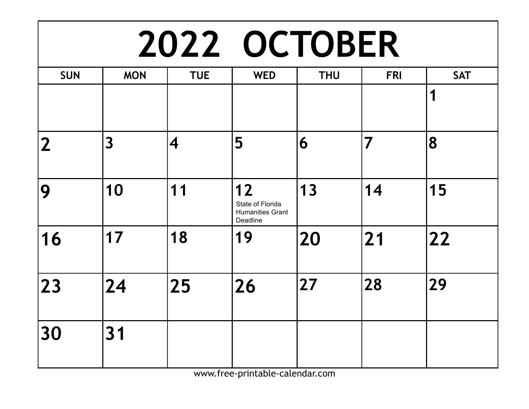## **2022 OCTOBER**

| <b>SUN</b> | <b>MON</b>              | <b>TUE</b> | <b>WED</b>                                                    | <b>THU</b> | <b>FRI</b>              | <b>SAT</b>   |
|------------|-------------------------|------------|---------------------------------------------------------------|------------|-------------------------|--------------|
|            |                         |            |                                                               |            |                         | 1            |
| 2          | $\overline{\mathbf{3}}$ | 4          | 5                                                             | 6          | $\overline{\mathbf{7}}$ | 8            |
| 9          | 10                      | 11         | 12<br>State of Florida<br><b>Humanities Grant</b><br>Deadline | 13         | 14                      | 15           |
| 16         | 17                      | 18         | 19                                                            | 20         | 21                      | $\boxed{22}$ |
| 23         | 24                      | 25         | 26                                                            | 27         | 28                      | 29           |
| 30         | 31                      |            |                                                               |            |                         |              |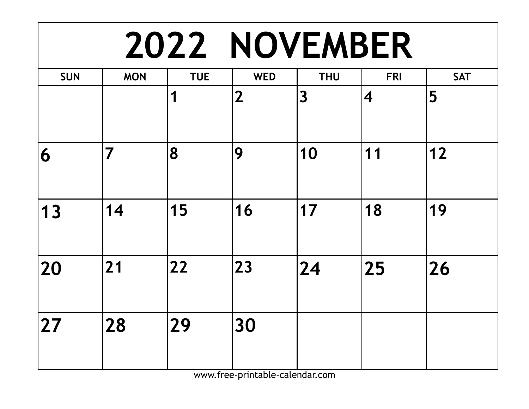#### **2022 NOVEMBER**

| <b>SUN</b> | <b>MON</b>              | <b>TUE</b> | <b>WED</b>     | <b>THU</b> | <b>FRI</b>              | <b>SAT</b> |
|------------|-------------------------|------------|----------------|------------|-------------------------|------------|
|            |                         | 1          | $\overline{2}$ | 3          | $\overline{\mathbf{4}}$ | 5          |
| 6          | $\overline{\mathbf{7}}$ | 8          | 9              | 10         | 11                      | 12         |
| 13         | 14                      | 15         | 16             | 17         | 18                      | 19         |
| 20         | 21                      | 22         | 23             | 24         | 25                      | 26         |
| 27         | 28                      | 29         | 30             |            |                         |            |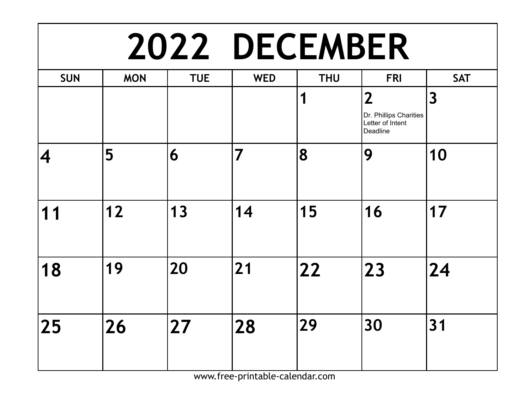#### **2022 DECEMBER**

| <b>SUN</b>              | <b>MON</b> | <b>TUE</b> | <b>WED</b> | <b>THU</b> | <b>FRI</b>                                                               | <b>SAT</b> |
|-------------------------|------------|------------|------------|------------|--------------------------------------------------------------------------|------------|
|                         |            |            |            | 1          | $\overline{2}$<br>Dr. Phillips Charities<br>Letter of Intent<br>Deadline | 3          |
| $\overline{\mathbf{4}}$ | 5          | 6          | 7          | 8          | 9                                                                        | 10         |
| 11                      | $12$       | 13         | 14         | 15         | 16                                                                       | 17         |
| 18                      | 19         | 20         | 21         | 22         | 23                                                                       | 24         |
| 25                      | 26         | 27         | 28         | 29         | 30                                                                       | 31         |